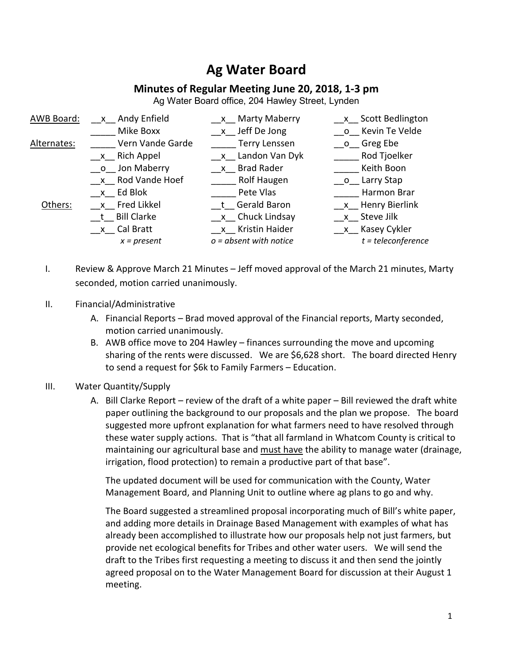## **Ag Water Board**

## **Minutes of Regular Meeting June 20, 2018, 1-3 pm**

Ag Water Board office, 204 Hawley Street, Lynden

| AWB Board:          | x Andy Enfield    | x Marty Maberry          | x Scott Bedlington   |
|---------------------|-------------------|--------------------------|----------------------|
|                     | Mike Boxx         | x Jeff De Jong           | o Kevin Te Velde     |
| Al <u>ternates:</u> | Vern Vande Garde  | Terry Lenssen            | o Greg Ebe           |
|                     | $x$ Rich Appel    | x Landon Van Dyk         | Rod Tjoelker         |
|                     | __o__ Jon Maberry | x Brad Rader             | Keith Boon           |
|                     | x Rod Vande Hoef  | Rolf Haugen              | o Larry Stap         |
|                     | x Ed Blok         | Pete Vlas                | Harmon Brar          |
| Others:             | x Fred Likkel     | t Gerald Baron           | x Henry Bierlink     |
|                     | t Bill Clarke     | x Chuck Lindsay          | x Steve Jilk         |
|                     | __x__ Cal Bratt   | x Kristin Haider         | x Kasey Cykler       |
|                     | $x = present$     | $o = absent$ with notice | $t = teleconference$ |

- I. Review & Approve March 21 Minutes Jeff moved approval of the March 21 minutes, Marty seconded, motion carried unanimously.
- II. Financial/Administrative
	- A. Financial Reports Brad moved approval of the Financial reports, Marty seconded, motion carried unanimously.
	- B. AWB office move to 204 Hawley finances surrounding the move and upcoming sharing of the rents were discussed. We are \$6,628 short. The board directed Henry to send a request for \$6k to Family Farmers – Education.
- III. Water Quantity/Supply
	- A. Bill Clarke Report review of the draft of a white paper Bill reviewed the draft white paper outlining the background to our proposals and the plan we propose. The board suggested more upfront explanation for what farmers need to have resolved through these water supply actions. That is "that all farmland in Whatcom County is critical to maintaining our agricultural base and must have the ability to manage water (drainage, irrigation, flood protection) to remain a productive part of that base".

The updated document will be used for communication with the County, Water Management Board, and Planning Unit to outline where ag plans to go and why.

The Board suggested a streamlined proposal incorporating much of Bill's white paper, and adding more details in Drainage Based Management with examples of what has already been accomplished to illustrate how our proposals help not just farmers, but provide net ecological benefits for Tribes and other water users. We will send the draft to the Tribes first requesting a meeting to discuss it and then send the jointly agreed proposal on to the Water Management Board for discussion at their August 1 meeting.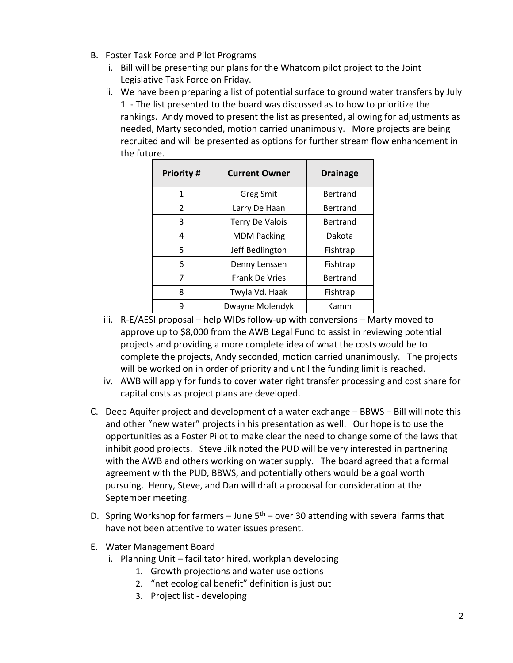- B. Foster Task Force and Pilot Programs
	- i. Bill will be presenting our plans for the Whatcom pilot project to the Joint Legislative Task Force on Friday.
	- ii. We have been preparing a list of potential surface to ground water transfers by July 1 - The list presented to the board was discussed as to how to prioritize the rankings. Andy moved to present the list as presented, allowing for adjustments as needed, Marty seconded, motion carried unanimously. More projects are being recruited and will be presented as options for further stream flow enhancement in the future.

| <b>Priority#</b> | <b>Current Owner</b>   | <b>Drainage</b> |
|------------------|------------------------|-----------------|
| 1                | <b>Greg Smit</b>       | Bertrand        |
| $\mathcal{P}$    | Larry De Haan          | Bertrand        |
| 3                | <b>Terry De Valois</b> | <b>Bertrand</b> |
| 4                | <b>MDM Packing</b>     | Dakota          |
| 5                | Jeff Bedlington        | Fishtrap        |
| 6                | Denny Lenssen          | Fishtrap        |
| 7                | <b>Frank De Vries</b>  | Bertrand        |
| 8                | Twyla Vd. Haak         | Fishtrap        |
| 9                | Dwayne Molendyk        | Kamm            |

- iii. R-E/AESI proposal help WIDs follow-up with conversions Marty moved to approve up to \$8,000 from the AWB Legal Fund to assist in reviewing potential projects and providing a more complete idea of what the costs would be to complete the projects, Andy seconded, motion carried unanimously. The projects will be worked on in order of priority and until the funding limit is reached.
- iv. AWB will apply for funds to cover water right transfer processing and cost share for capital costs as project plans are developed.
- C. Deep Aquifer project and development of a water exchange BBWS Bill will note this and other "new water" projects in his presentation as well. Our hope is to use the opportunities as a Foster Pilot to make clear the need to change some of the laws that inhibit good projects. Steve Jilk noted the PUD will be very interested in partnering with the AWB and others working on water supply. The board agreed that a formal agreement with the PUD, BBWS, and potentially others would be a goal worth pursuing. Henry, Steve, and Dan will draft a proposal for consideration at the September meeting.
- D. Spring Workshop for farmers June  $5<sup>th</sup>$  over 30 attending with several farms that have not been attentive to water issues present.
- E. Water Management Board
	- i. Planning Unit facilitator hired, workplan developing
		- 1. Growth projections and water use options
		- 2. "net ecological benefit" definition is just out
		- 3. Project list developing